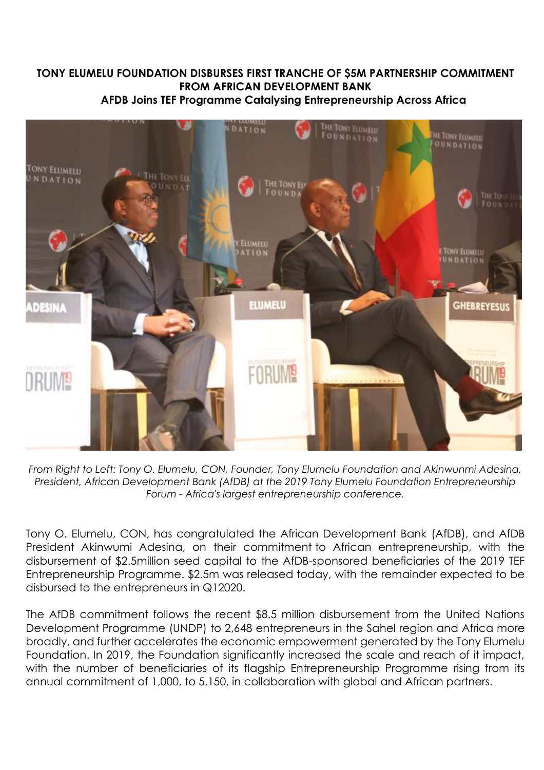## **TONY ELUMELU FOUNDATION DISBURSES FIRST TRANCHE OF \$5M PARTNERSHIP COMMITMENT FROM AFRICAN DEVELOPMENT BANK AFDB Joins TEF Programme Catalysing Entrepreneurship Across Africa**



*From Right to Left: Tony O. Elumelu, CON, Founder, Tony Elumelu Foundation and Akinwunmi Adesina, President, African Development Bank (AfDB) at the 2019 Tony Elumelu Foundation Entrepreneurship Forum - Africa's largest entrepreneurship conference.*

Tony O. Elumelu, CON, has congratulated the African Development Bank (AfDB), and AfDB President Akinwumi Adesina, on their commitment to African entrepreneurship, with the disbursement of \$2.5million seed capital to the AfDB-sponsored beneficiaries of the 2019 TEF Entrepreneurship Programme. \$2.5m was released today, with the remainder expected to be disbursed to the entrepreneurs in Q12020.

The AfDB commitment follows the recent \$8.5 million disbursement from the United Nations Development Programme (UNDP) to 2,648 entrepreneurs in the Sahel region and Africa more broadly, and further accelerates the economic empowerment generated by the Tony Elumelu Foundation. In 2019, the Foundation significantly increased the scale and reach of it impact, with the number of beneficiaries of its flagship Entrepreneurship Programme rising from its annual commitment of 1,000, to 5,150, in collaboration with global and African partners.